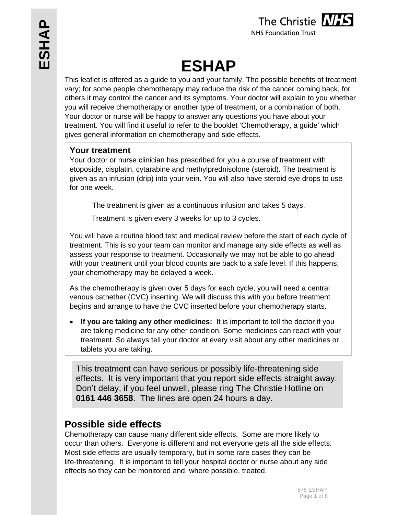

# **ESHAP**

This leaflet is offered as a guide to you and your family. The possible benefits of treatment vary; for some people chemotherapy may reduce the risk of the cancer coming back, for others it may control the cancer and its symptoms. Your doctor will explain to you whether you will receive chemotherapy or another type of treatment, or a combination of both. Your doctor or nurse will be happy to answer any questions you have about your treatment. You will find it useful to refer to the booklet 'Chemotherapy, a guide' which gives general information on chemotherapy and side effects.

## **Your treatment**

Your doctor or nurse clinician has prescribed for you a course of treatment with etoposide, cisplatin, cytarabine and methylprednisolone (steroid). The treatment is given as an infusion (drip) into your vein. You will also have steroid eye drops to use for one week.

The treatment is given as a continuous infusion and takes 5 days.

Treatment is given every 3 weeks for up to 3 cycles.

You will have a routine blood test and medical review before the start of each cycle of treatment. This is so your team can monitor and manage any side effects as well as assess your response to treatment. Occasionally we may not be able to go ahead with your treatment until your blood counts are back to a safe level. If this happens, your chemotherapy may be delayed a week.

As the chemotherapy is given over 5 days for each cycle, you will need a central venous cathether (CVC) inserting. We will discuss this with you before treatment begins and arrange to have the CVC inserted before your chemotherapy starts.

 **If you are taking any other medicines:** It is important to tell the doctor if you are taking medicine for any other condition. Some medicines can react with your treatment. So always tell your doctor at every visit about any other medicines or tablets you are taking.

This treatment can have serious or possibly life-threatening side effects. It is very important that you report side effects straight away. Don't delay, if you feel unwell, please ring The Christie Hotline on **0161 446 3658**. The lines are open 24 hours a day.

# **Possible side effects**

Chemotherapy can cause many different side effects. Some are more likely to occur than others. Everyone is different and not everyone gets all the side effects. Most side effects are usually temporary, but in some rare cases they can be life-threatening. It is important to tell your hospital doctor or nurse about any side effects so they can be monitored and, where possible, treated.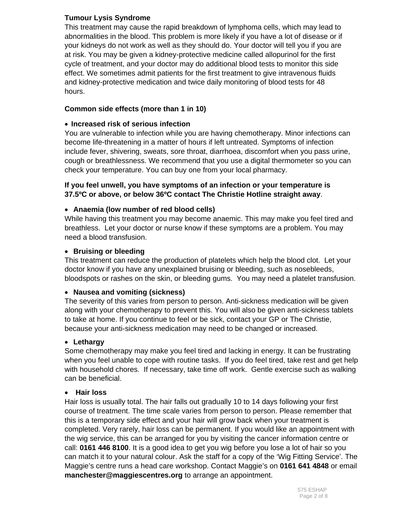#### **Tumour Lysis Syndrome**

This treatment may cause the rapid breakdown of lymphoma cells, which may lead to abnormalities in the blood. This problem is more likely if you have a lot of disease or if your kidneys do not work as well as they should do. Your doctor will tell you if you are at risk. You may be given a kidney-protective medicine called allopurinol for the first cycle of treatment, and your doctor may do additional blood tests to monitor this side effect. We sometimes admit patients for the first treatment to give intravenous fluids and kidney-protective medication and twice daily monitoring of blood tests for 48 hours.

#### **Common side effects (more than 1 in 10)**

#### **Increased risk of serious infection**

You are vulnerable to infection while you are having chemotherapy. Minor infections can become life-threatening in a matter of hours if left untreated. Symptoms of infection include fever, shivering, sweats, sore throat, diarrhoea, discomfort when you pass urine, cough or breathlessness. We recommend that you use a digital thermometer so you can check your temperature. You can buy one from your local pharmacy.

#### **If you feel unwell, you have symptoms of an infection or your temperature is 37.5ºC or above, or below 36ºC contact The Christie Hotline straight away**.

#### **Anaemia (low number of red blood cells)**

While having this treatment you may become anaemic. This may make you feel tired and breathless. Let your doctor or nurse know if these symptoms are a problem. You may need a blood transfusion.

#### **Bruising or bleeding**

This treatment can reduce the production of platelets which help the blood clot. Let your doctor know if you have any unexplained bruising or bleeding, such as nosebleeds, bloodspots or rashes on the skin, or bleeding gums. You may need a platelet transfusion.

#### **Nausea and vomiting (sickness)**

The severity of this varies from person to person. Anti-sickness medication will be given along with your chemotherapy to prevent this. You will also be given anti-sickness tablets to take at home. If you continue to feel or be sick, contact your GP or The Christie, because your anti-sickness medication may need to be changed or increased.

#### **Lethargy**

Some chemotherapy may make you feel tired and lacking in energy. It can be frustrating when you feel unable to cope with routine tasks. If you do feel tired, take rest and get help with household chores. If necessary, take time off work. Gentle exercise such as walking can be beneficial.

#### **Hair loss**

Hair loss is usually total. The hair falls out gradually 10 to 14 days following your first course of treatment. The time scale varies from person to person. Please remember that this is a temporary side effect and your hair will grow back when your treatment is completed. Very rarely, hair loss can be permanent. If you would like an appointment with the wig service, this can be arranged for you by visiting the cancer information centre or call: **0161 446 8100**. It is a good idea to get you wig before you lose a lot of hair so you can match it to your natural colour. Ask the staff for a copy of the 'Wig Fitting Service'. The Maggie's centre runs a head care workshop. Contact Maggie's on **0161 641 4848** or email **manchester@maggiescentres.org** to arrange an appointment.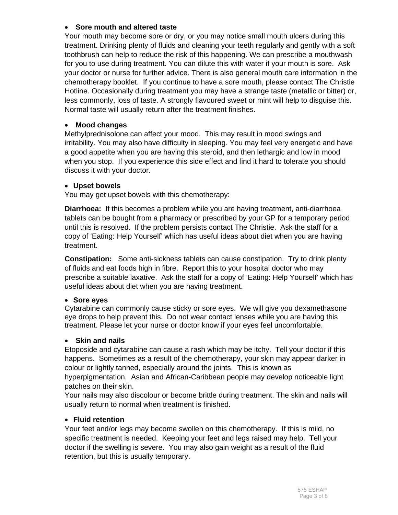#### **Sore mouth and altered taste**

Your mouth may become sore or dry, or you may notice small mouth ulcers during this treatment. Drinking plenty of fluids and cleaning your teeth regularly and gently with a soft toothbrush can help to reduce the risk of this happening. We can prescribe a mouthwash for you to use during treatment. You can dilute this with water if your mouth is sore. Ask your doctor or nurse for further advice. There is also general mouth care information in the chemotherapy booklet. If you continue to have a sore mouth, please contact The Christie Hotline. Occasionally during treatment you may have a strange taste (metallic or bitter) or, less commonly, loss of taste. A strongly flavoured sweet or mint will help to disguise this. Normal taste will usually return after the treatment finishes.

#### **Mood changes**

Methylprednisolone can affect your mood. This may result in mood swings and irritability. You may also have difficulty in sleeping. You may feel very energetic and have a good appetite when you are having this steroid, and then lethargic and low in mood when you stop. If you experience this side effect and find it hard to tolerate you should discuss it with your doctor.

#### **Upset bowels**

You may get upset bowels with this chemotherapy:

**Diarrhoea:** If this becomes a problem while you are having treatment, anti-diarrhoea tablets can be bought from a pharmacy or prescribed by your GP for a temporary period until this is resolved. If the problem persists contact The Christie. Ask the staff for a copy of 'Eating: Help Yourself' which has useful ideas about diet when you are having treatment.

**Constipation:** Some anti-sickness tablets can cause constipation. Try to drink plenty of fluids and eat foods high in fibre. Report this to your hospital doctor who may prescribe a suitable laxative. Ask the staff for a copy of 'Eating: Help Yourself' which has useful ideas about diet when you are having treatment.

#### **Sore eyes**

Cytarabine can commonly cause sticky or sore eyes. We will give you dexamethasone eye drops to help prevent this. Do not wear contact lenses while you are having this treatment. Please let your nurse or doctor know if your eyes feel uncomfortable.

#### **Skin and nails**

Etoposide and cytarabine can cause a rash which may be itchy. Tell your doctor if this happens. Sometimes as a result of the chemotherapy, your skin may appear darker in colour or lightly tanned, especially around the joints. This is known as hyperpigmentation. Asian and African-Caribbean people may develop noticeable light patches on their skin.

Your nails may also discolour or become brittle during treatment. The skin and nails will usually return to normal when treatment is finished.

#### **Fluid retention**

Your feet and/or legs may become swollen on this chemotherapy. If this is mild, no specific treatment is needed. Keeping your feet and legs raised may help. Tell your doctor if the swelling is severe. You may also gain weight as a result of the fluid retention, but this is usually temporary.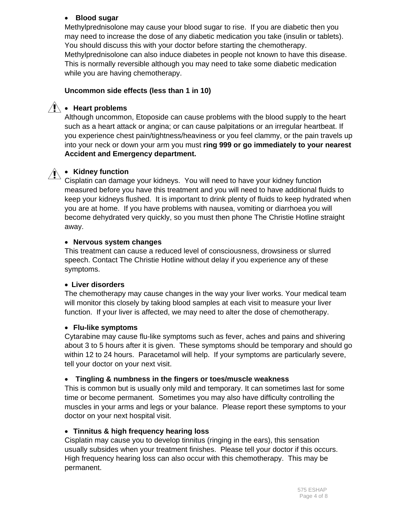#### **Blood sugar**

Methylprednisolone may cause your blood sugar to rise. If you are diabetic then you may need to increase the dose of any diabetic medication you take (insulin or tablets). You should discuss this with your doctor before starting the chemotherapy. Methylprednisolone can also induce diabetes in people not known to have this disease. This is normally reversible although you may need to take some diabetic medication while you are having chemotherapy.

#### **Uncommon side effects (less than 1 in 10)**

# $\hat{P}$  • Heart problems

Although uncommon, Etoposide can cause problems with the blood supply to the heart such as a heart attack or angina; or can cause palpitations or an irregular heartbeat. If you experience chest pain/tightness/heaviness or you feel clammy, or the pain travels up into your neck or down your arm you must **ring 999 or go immediately to your nearest Accident and Emergency department.** 

# **Kidney function**

Cisplatin can damage your kidneys. You will need to have your kidney function measured before you have this treatment and you will need to have additional fluids to keep your kidneys flushed. It is important to drink plenty of fluids to keep hydrated when you are at home. If you have problems with nausea, vomiting or diarrhoea you will become dehydrated very quickly, so you must then phone The Christie Hotline straight away.

#### **Nervous system changes**

This treatment can cause a reduced level of consciousness, drowsiness or slurred speech. Contact The Christie Hotline without delay if you experience any of these symptoms.

#### **Liver disorders**

The chemotherapy may cause changes in the way your liver works. Your medical team will monitor this closely by taking blood samples at each visit to measure your liver function. If your liver is affected, we may need to alter the dose of chemotherapy.

#### **Flu-like symptoms**

Cytarabine may cause flu-like symptoms such as fever, aches and pains and shivering about 3 to 5 hours after it is given. These symptoms should be temporary and should go within 12 to 24 hours. Paracetamol will help. If your symptoms are particularly severe, tell your doctor on your next visit.

#### **Tingling & numbness in the fingers or toes/muscle weakness**

This is common but is usually only mild and temporary. It can sometimes last for some time or become permanent. Sometimes you may also have difficulty controlling the muscles in your arms and legs or your balance. Please report these symptoms to your doctor on your next hospital visit.

#### **Tinnitus & high frequency hearing loss**

Cisplatin may cause you to develop tinnitus (ringing in the ears), this sensation usually subsides when your treatment finishes. Please tell your doctor if this occurs. High frequency hearing loss can also occur with this chemotherapy. This may be permanent.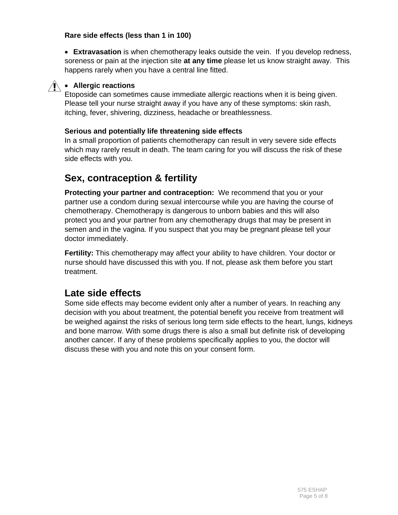#### **Rare side effects (less than 1 in 100)**

 **Extravasation** is when chemotherapy leaks outside the vein. If you develop redness, soreness or pain at the injection site **at any time** please let us know straight away. This happens rarely when you have a central line fitted.



#### **Allergic reactions**

Etoposide can sometimes cause immediate allergic reactions when it is being given. Please tell your nurse straight away if you have any of these symptoms: skin rash, itching, fever, shivering, dizziness, headache or breathlessness.

#### **Serious and potentially life threatening side effects**

In a small proportion of patients chemotherapy can result in very severe side effects which may rarely result in death. The team caring for you will discuss the risk of these side effects with you.

# **Sex, contraception & fertility**

**Protecting your partner and contraception:** We recommend that you or your partner use a condom during sexual intercourse while you are having the course of chemotherapy. Chemotherapy is dangerous to unborn babies and this will also protect you and your partner from any chemotherapy drugs that may be present in semen and in the vagina. If you suspect that you may be pregnant please tell your doctor immediately.

**Fertility:** This chemotherapy may affect your ability to have children. Your doctor or nurse should have discussed this with you. If not, please ask them before you start treatment.

# **Late side effects**

Some side effects may become evident only after a number of years. In reaching any decision with you about treatment, the potential benefit you receive from treatment will be weighed against the risks of serious long term side effects to the heart, lungs, kidneys and bone marrow. With some drugs there is also a small but definite risk of developing another cancer. If any of these problems specifically applies to you, the doctor will discuss these with you and note this on your consent form.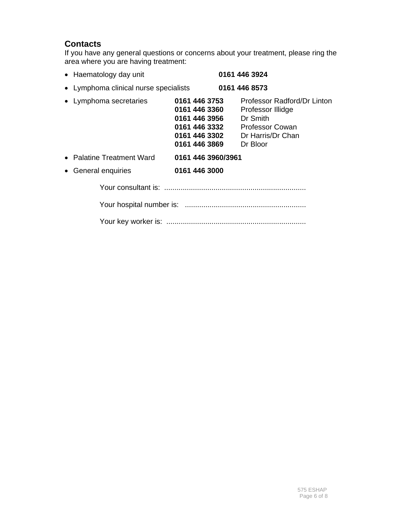## **Contacts**

If you have any general questions or concerns about your treatment, please ring the area where you are having treatment:

| • Haematology day unit                |                                                                                                    | 0161 446 3924                                                                                                           |
|---------------------------------------|----------------------------------------------------------------------------------------------------|-------------------------------------------------------------------------------------------------------------------------|
| • Lymphoma clinical nurse specialists |                                                                                                    | 0161 446 8573                                                                                                           |
| • Lymphoma secretaries                | 0161 446 3753<br>0161 446 3360<br>0161 446 3956<br>0161 446 3332<br>0161 446 3302<br>0161 446 3869 | Professor Radford/Dr Linton<br>Professor Illidge<br>Dr Smith<br><b>Professor Cowan</b><br>Dr Harris/Dr Chan<br>Dr Bloor |
| • Palatine Treatment Ward             | 0161 446 3960/3961                                                                                 |                                                                                                                         |
| • General enquiries                   | 0161 446 3000                                                                                      |                                                                                                                         |
|                                       |                                                                                                    |                                                                                                                         |
|                                       |                                                                                                    |                                                                                                                         |
|                                       |                                                                                                    |                                                                                                                         |